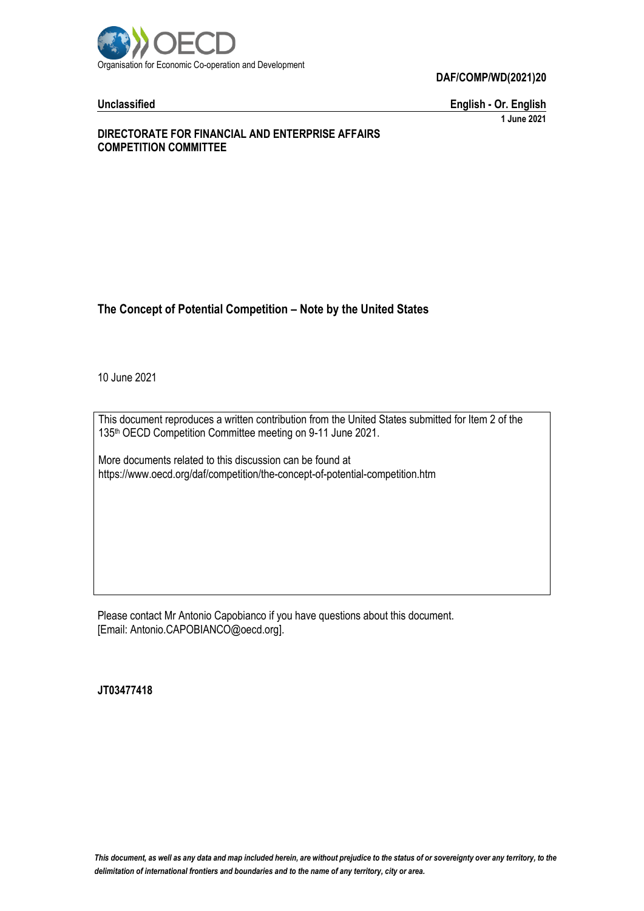

**Unclassified English - Or. English 1 June 2021**

#### **DIRECTORATE FOR FINANCIAL AND ENTERPRISE AFFAIRS COMPETITION COMMITTEE**

# **The Concept of Potential Competition – Note by the United States**

10 June 2021

This document reproduces a written contribution from the United States submitted for Item 2 of the 135th OECD Competition Committee meeting on 9-11 June 2021.

More documents related to this discussion can be found at https://www.oecd.org/daf/competition/the-concept-of-potential-competition.htm

Please contact Mr Antonio Capobianco if you have questions about this document. [Email: Antonio.CAPOBIANCO@oecd.org].

**JT03477418**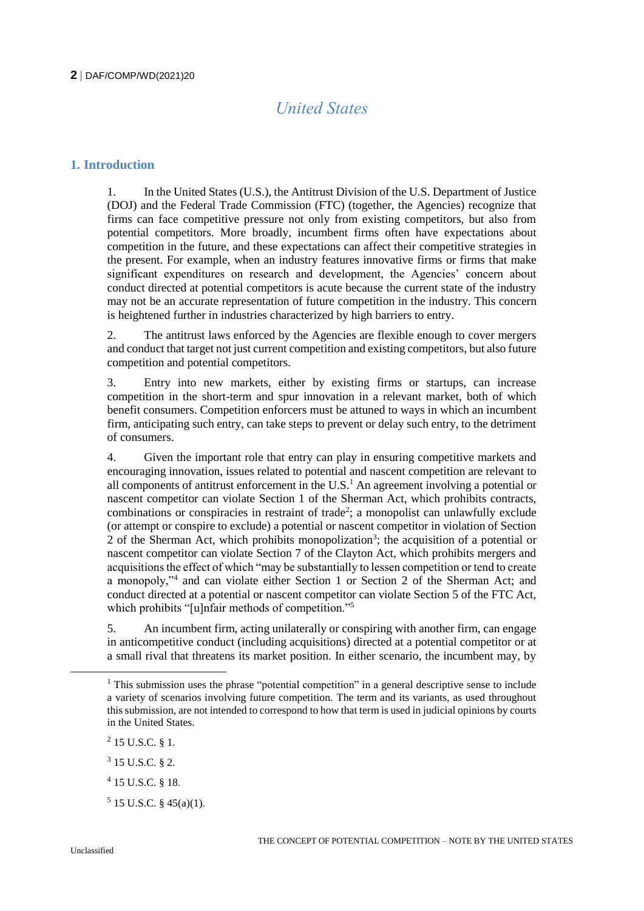# *United States*

# **1. Introduction**

1. In the United States (U.S.), the Antitrust Division of the U.S. Department of Justice (DOJ) and the Federal Trade Commission (FTC) (together, the Agencies) recognize that firms can face competitive pressure not only from existing competitors, but also from potential competitors. More broadly, incumbent firms often have expectations about competition in the future, and these expectations can affect their competitive strategies in the present. For example, when an industry features innovative firms or firms that make significant expenditures on research and development, the Agencies' concern about conduct directed at potential competitors is acute because the current state of the industry may not be an accurate representation of future competition in the industry. This concern is heightened further in industries characterized by high barriers to entry.

2. The antitrust laws enforced by the Agencies are flexible enough to cover mergers and conduct that target not just current competition and existing competitors, but also future competition and potential competitors.

3. Entry into new markets, either by existing firms or startups, can increase competition in the short-term and spur innovation in a relevant market, both of which benefit consumers. Competition enforcers must be attuned to ways in which an incumbent firm, anticipating such entry, can take steps to prevent or delay such entry, to the detriment of consumers.

4. Given the important role that entry can play in ensuring competitive markets and encouraging innovation, issues related to potential and nascent competition are relevant to all components of antitrust enforcement in the U.S.<sup>1</sup> An agreement involving a potential or nascent competitor can violate Section 1 of the Sherman Act, which prohibits contracts, combinations or conspiracies in restraint of trade<sup>2</sup>; a monopolist can unlawfully exclude (or attempt or conspire to exclude) a potential or nascent competitor in violation of Section 2 of the Sherman Act, which prohibits monopolization<sup>3</sup>; the acquisition of a potential or nascent competitor can violate Section 7 of the Clayton Act, which prohibits mergers and acquisitions the effect of which "may be substantially to lessen competition or tend to create a monopoly,"<sup>4</sup> and can violate either Section 1 or Section 2 of the Sherman Act; and conduct directed at a potential or nascent competitor can violate Section 5 of the FTC Act, which prohibits "[u]nfair methods of competition."<sup>5</sup>

5. An incumbent firm, acting unilaterally or conspiring with another firm, can engage in anticompetitive conduct (including acquisitions) directed at a potential competitor or at a small rival that threatens its market position. In either scenario, the incumbent may, by

 $^{2}$  15 U.S.C. § 1.

- $3$  15 U.S.C. § 2.
- 4 15 U.S.C. § 18.
- $5$  15 U.S.C. § 45(a)(1).

<sup>&</sup>lt;sup>1</sup> This submission uses the phrase "potential competition" in a general descriptive sense to include a variety of scenarios involving future competition. The term and its variants, as used throughout this submission, are not intended to correspond to how that term is used in judicial opinions by courts in the United States.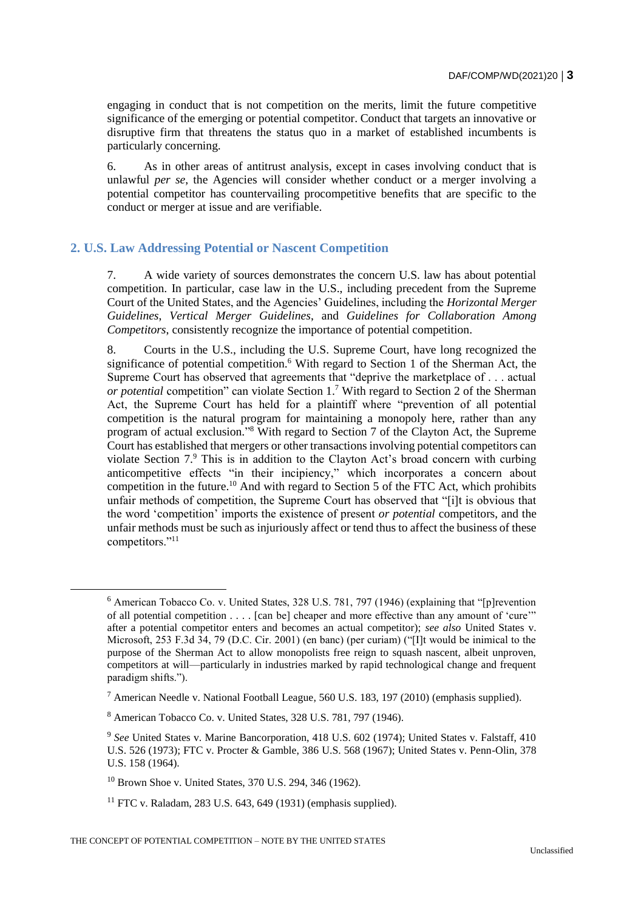engaging in conduct that is not competition on the merits, limit the future competitive significance of the emerging or potential competitor. Conduct that targets an innovative or disruptive firm that threatens the status quo in a market of established incumbents is particularly concerning.

6. As in other areas of antitrust analysis, except in cases involving conduct that is unlawful *per se*, the Agencies will consider whether conduct or a merger involving a potential competitor has countervailing procompetitive benefits that are specific to the conduct or merger at issue and are verifiable.

# **2. U.S. Law Addressing Potential or Nascent Competition**

7. A wide variety of sources demonstrates the concern U.S. law has about potential competition. In particular, case law in the U.S., including precedent from the Supreme Court of the United States, and the Agencies' Guidelines, including the *Horizontal Merger Guidelines*, *Vertical Merger Guidelines*, and *Guidelines for Collaboration Among Competitors*, consistently recognize the importance of potential competition.

8. Courts in the U.S., including the U.S. Supreme Court, have long recognized the significance of potential competition.<sup>6</sup> With regard to Section 1 of the Sherman Act, the Supreme Court has observed that agreements that "deprive the marketplace of . . . actual *or potential* competition" can violate Section 1.<sup>7</sup> With regard to Section 2 of the Sherman Act, the Supreme Court has held for a plaintiff where "prevention of all potential competition is the natural program for maintaining a monopoly here, rather than any program of actual exclusion." <sup>8</sup> With regard to Section 7 of the Clayton Act, the Supreme Court has established that mergers or other transactions involving potential competitors can violate Section 7.<sup>9</sup> This is in addition to the Clayton Act's broad concern with curbing anticompetitive effects "in their incipiency," which incorporates a concern about competition in the future.<sup>10</sup> And with regard to Section 5 of the FTC Act, which prohibits unfair methods of competition, the Supreme Court has observed that "[i]t is obvious that the word 'competition' imports the existence of present *or potential* competitors, and the unfair methods must be such as injuriously affect or tend thus to affect the business of these competitors."<sup>11</sup>

<sup>6</sup> American Tobacco Co. v. United States, 328 U.S. 781, 797 (1946) (explaining that "[p]revention of all potential competition . . . . [can be] cheaper and more effective than any amount of 'cure'" after a potential competitor enters and becomes an actual competitor); *see also* United States v. Microsoft, 253 F.3d 34, 79 (D.C. Cir. 2001) (en banc) (per curiam) ("[I]t would be inimical to the purpose of the Sherman Act to allow monopolists free reign to squash nascent, albeit unproven, competitors at will—particularly in industries marked by rapid technological change and frequent paradigm shifts.").

<sup>&</sup>lt;sup>7</sup> American Needle v. National Football League, 560 U.S. 183, 197 (2010) (emphasis supplied).

<sup>8</sup> American Tobacco Co. v. United States, 328 U.S. 781, 797 (1946).

<sup>&</sup>lt;sup>9</sup> See United States v. Marine Bancorporation, 418 U.S. 602 (1974); United States v. Falstaff, 410 U.S. 526 (1973); FTC v. Procter & Gamble, 386 U.S. 568 (1967); United States v. Penn-Olin, 378 U.S. 158 (1964).

<sup>10</sup> Brown Shoe v. United States, 370 U.S. 294, 346 (1962).

 $11$  FTC v. Raladam, 283 U.S. 643, 649 (1931) (emphasis supplied).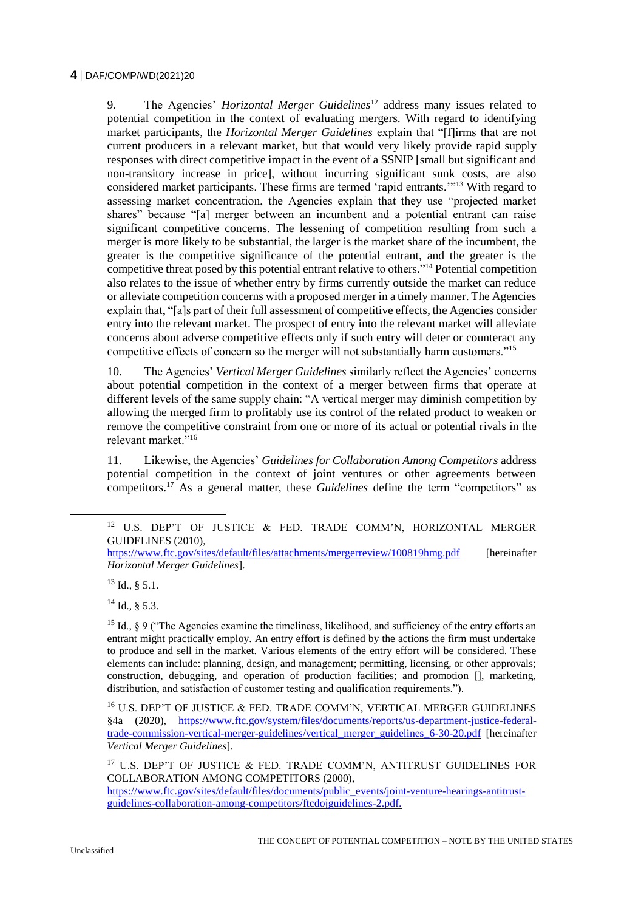9. The Agencies' *Horizontal Merger Guidelines*<sup>12</sup> address many issues related to potential competition in the context of evaluating mergers. With regard to identifying market participants, the *Horizontal Merger Guidelines* explain that "[f]irms that are not current producers in a relevant market, but that would very likely provide rapid supply responses with direct competitive impact in the event of a SSNIP [small but significant and non-transitory increase in price], without incurring significant sunk costs, are also considered market participants. These firms are termed 'rapid entrants.'"<sup>13</sup> With regard to assessing market concentration, the Agencies explain that they use "projected market shares" because "[a] merger between an incumbent and a potential entrant can raise significant competitive concerns. The lessening of competition resulting from such a merger is more likely to be substantial, the larger is the market share of the incumbent, the greater is the competitive significance of the potential entrant, and the greater is the competitive threat posed by this potential entrant relative to others."<sup>14</sup> Potential competition also relates to the issue of whether entry by firms currently outside the market can reduce or alleviate competition concerns with a proposed merger in a timely manner. The Agencies explain that, "[a]s part of their full assessment of competitive effects, the Agencies consider entry into the relevant market. The prospect of entry into the relevant market will alleviate concerns about adverse competitive effects only if such entry will deter or counteract any competitive effects of concern so the merger will not substantially harm customers."<sup>15</sup>

10. The Agencies' *Vertical Merger Guidelines* similarly reflect the Agencies' concerns about potential competition in the context of a merger between firms that operate at different levels of the same supply chain: "A vertical merger may diminish competition by allowing the merged firm to profitably use its control of the related product to weaken or remove the competitive constraint from one or more of its actual or potential rivals in the relevant market."<sup>16</sup>

11. Likewise, the Agencies' *Guidelines for Collaboration Among Competitors* address potential competition in the context of joint ventures or other agreements between competitors.<sup>17</sup> As a general matter, these *Guidelines* define the term "competitors" as

<https://www.ftc.gov/sites/default/files/attachments/mergerreview/100819hmg.pdf> [hereinafter *Horizontal Merger Guidelines*].

 $^{13}$  Id., § 5.1.

 $\overline{a}$ 

 $14$  Id., § 5.3.

<sup>15</sup> Id.,  $\frac{15}{2}$  9 ("The Agencies examine the timeliness, likelihood, and sufficiency of the entry efforts an entrant might practically employ. An entry effort is defined by the actions the firm must undertake to produce and sell in the market. Various elements of the entry effort will be considered. These elements can include: planning, design, and management; permitting, licensing, or other approvals; construction, debugging, and operation of production facilities; and promotion [], marketing, distribution, and satisfaction of customer testing and qualification requirements.").

<sup>&</sup>lt;sup>12</sup> U.S. DEP'T OF JUSTICE & FED. TRADE COMM'N, HORIZONTAL MERGER GUIDELINES (2010),

<sup>16</sup> U.S. DEP'T OF JUSTICE & FED. TRADE COMM'N, VERTICAL MERGER GUIDELINES §4a (2020), [https://www.ftc.gov/system/files/documents/reports/us-department-justice-federal](https://www.ftc.gov/system/files/documents/reports/us-department-justice-federal-trade-commission-vertical-merger-guidelines/vertical_merger_guidelines_6-30-20.pdf)[trade-commission-vertical-merger-guidelines/vertical\\_merger\\_guidelines\\_6-30-20.pdf](https://www.ftc.gov/system/files/documents/reports/us-department-justice-federal-trade-commission-vertical-merger-guidelines/vertical_merger_guidelines_6-30-20.pdf) [hereinafter *Vertical Merger Guidelines*].

<sup>&</sup>lt;sup>17</sup> U.S. DEP'T OF JUSTICE & FED. TRADE COMM'N, ANTITRUST GUIDELINES FOR COLLABORATION AMONG COMPETITORS (2000),

[https://www.ftc.gov/sites/default/files/documents/public\\_events/joint-venture-hearings-antitrust](https://www.ftc.gov/sites/default/files/documents/public_events/joint-venture-hearings-antitrust-guidelines-collaboration-among-competitors/ftcdojguidelines-2.pdf)[guidelines-collaboration-among-competitors/ftcdojguidelines-2.pdf.](https://www.ftc.gov/sites/default/files/documents/public_events/joint-venture-hearings-antitrust-guidelines-collaboration-among-competitors/ftcdojguidelines-2.pdf)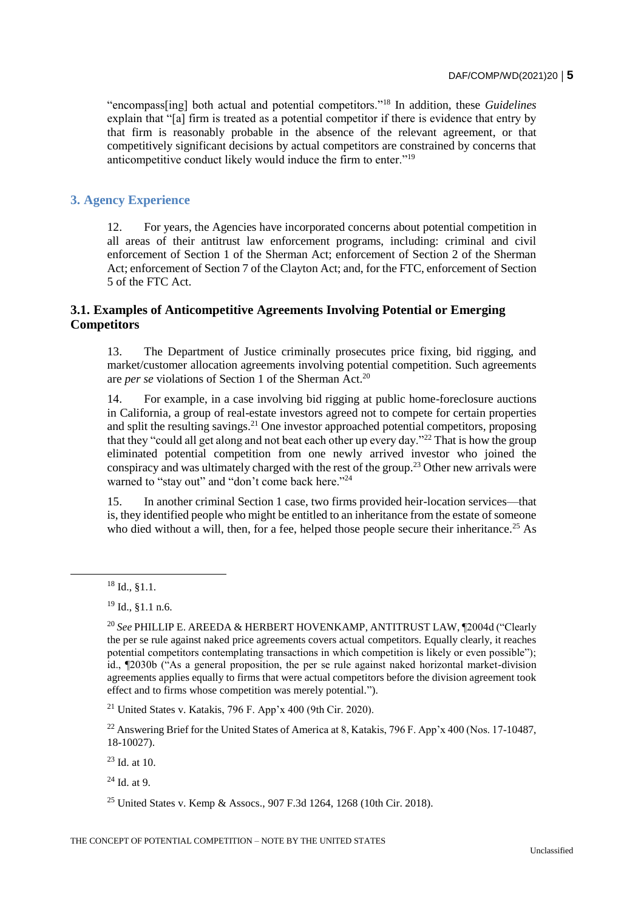"encompass[ing] both actual and potential competitors."<sup>18</sup> In addition, these *Guidelines* explain that "[a] firm is treated as a potential competitor if there is evidence that entry by that firm is reasonably probable in the absence of the relevant agreement, or that competitively significant decisions by actual competitors are constrained by concerns that anticompetitive conduct likely would induce the firm to enter."<sup>19</sup>

# **3. Agency Experience**

12. For years, the Agencies have incorporated concerns about potential competition in all areas of their antitrust law enforcement programs, including: criminal and civil enforcement of Section 1 of the Sherman Act; enforcement of Section 2 of the Sherman Act; enforcement of Section 7 of the Clayton Act; and, for the FTC, enforcement of Section 5 of the FTC Act.

# **3.1. Examples of Anticompetitive Agreements Involving Potential or Emerging Competitors**

13. The Department of Justice criminally prosecutes price fixing, bid rigging, and market/customer allocation agreements involving potential competition. Such agreements are *per se* violations of Section 1 of the Sherman Act.<sup>20</sup>

14. For example, in a case involving bid rigging at public home-foreclosure auctions in California, a group of real-estate investors agreed not to compete for certain properties and split the resulting savings.<sup>21</sup> One investor approached potential competitors, proposing that they "could all get along and not beat each other up every day."<sup>22</sup> That is how the group eliminated potential competition from one newly arrived investor who joined the conspiracy and was ultimately charged with the rest of the group.<sup>23</sup> Other new arrivals were warned to "stay out" and "don't come back here."<sup>24</sup>

15. In another criminal Section 1 case, two firms provided heir-location services—that is, they identified people who might be entitled to an inheritance from the estate of someone who died without a will, then, for a fee, helped those people secure their inheritance.<sup>25</sup> As

<sup>18</sup> Id., §1.1.

<sup>19</sup> Id., §1.1 n.6.

<sup>20</sup> *See* PHILLIP E. AREEDA & HERBERT HOVENKAMP, ANTITRUST LAW, ¶2004d ("Clearly the per se rule against naked price agreements covers actual competitors. Equally clearly, it reaches potential competitors contemplating transactions in which competition is likely or even possible"); id., ¶2030b ("As a general proposition, the per se rule against naked horizontal market-division agreements applies equally to firms that were actual competitors before the division agreement took effect and to firms whose competition was merely potential.").

<sup>&</sup>lt;sup>21</sup> United States v. Katakis, 796 F. App'x 400 (9th Cir. 2020).

<sup>&</sup>lt;sup>22</sup> Answering Brief for the United States of America at 8, Katakis, 796 F. App'x 400 (Nos. 17-10487, 18-10027).

 $23$  Id. at 10.

 $24$  Id. at 9.

<sup>25</sup> United States v. Kemp & Assocs., 907 F.3d 1264, 1268 (10th Cir. 2018).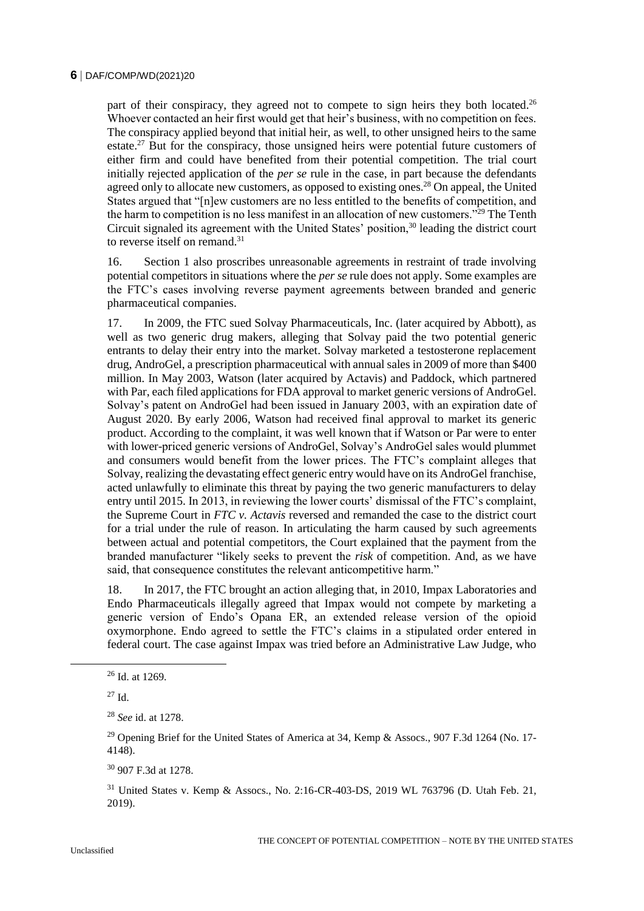part of their conspiracy, they agreed not to compete to sign heirs they both located.<sup>26</sup> Whoever contacted an heir first would get that heir's business, with no competition on fees. The conspiracy applied beyond that initial heir, as well, to other unsigned heirs to the same estate.<sup>27</sup> But for the conspiracy, those unsigned heirs were potential future customers of either firm and could have benefited from their potential competition. The trial court initially rejected application of the *per se* rule in the case, in part because the defendants agreed only to allocate new customers, as opposed to existing ones.<sup>28</sup> On appeal, the United States argued that "[n]ew customers are no less entitled to the benefits of competition, and the harm to competition is no less manifest in an allocation of new customers."<sup>29</sup> The Tenth Circuit signaled its agreement with the United States' position, $30$  leading the district court to reverse itself on remand.<sup>31</sup>

16. Section 1 also proscribes unreasonable agreements in restraint of trade involving potential competitors in situations where the *per se* rule does not apply. Some examples are the FTC's cases involving reverse payment agreements between branded and generic pharmaceutical companies.

17. In 2009, the FTC sued Solvay Pharmaceuticals, Inc. (later acquired by Abbott), as well as two generic drug makers, alleging that Solvay paid the two potential generic entrants to delay their entry into the market. Solvay marketed a testosterone replacement drug, AndroGel, a prescription pharmaceutical with annual sales in 2009 of more than \$400 million. In May 2003, Watson (later acquired by Actavis) and Paddock, which partnered with Par, each filed applications for FDA approval to market generic versions of AndroGel. Solvay's patent on AndroGel had been issued in January 2003, with an expiration date of August 2020. By early 2006, Watson had received final approval to market its generic product. According to the complaint, it was well known that if Watson or Par were to enter with lower-priced generic versions of AndroGel, Solvay's AndroGel sales would plummet and consumers would benefit from the lower prices. The FTC's complaint alleges that Solvay, realizing the devastating effect generic entry would have on its AndroGel franchise, acted unlawfully to eliminate this threat by paying the two generic manufacturers to delay entry until 2015. In 2013, in reviewing the lower courts' dismissal of the FTC's complaint, the Supreme Court in *FTC v. Actavis* reversed and remanded the case to the district court for a trial under the rule of reason. In articulating the harm caused by such agreements between actual and potential competitors, the Court explained that the payment from the branded manufacturer "likely seeks to prevent the *risk* of competition. And, as we have said, that consequence constitutes the relevant anticompetitive harm."

18. In 2017, the FTC brought an action alleging that, in 2010, Impax Laboratories and Endo Pharmaceuticals illegally agreed that Impax would not compete by marketing a generic version of Endo's Opana ER, an extended release version of the opioid oxymorphone. Endo agreed to settle the FTC's claims in a stipulated order entered in federal court. The case against Impax was tried before an Administrative Law Judge, who

<sup>30</sup> 907 F.3d at 1278.

<sup>31</sup> United States v. Kemp & Assocs., No. 2:16-CR-403-DS, 2019 WL 763796 (D. Utah Feb. 21, 2019).

<sup>26</sup> Id. at 1269.

<sup>27</sup> Id.

<sup>28</sup> *See* id. at 1278.

<sup>&</sup>lt;sup>29</sup> Opening Brief for the United States of America at 34, Kemp & Assocs., 907 F.3d 1264 (No. 17-4148).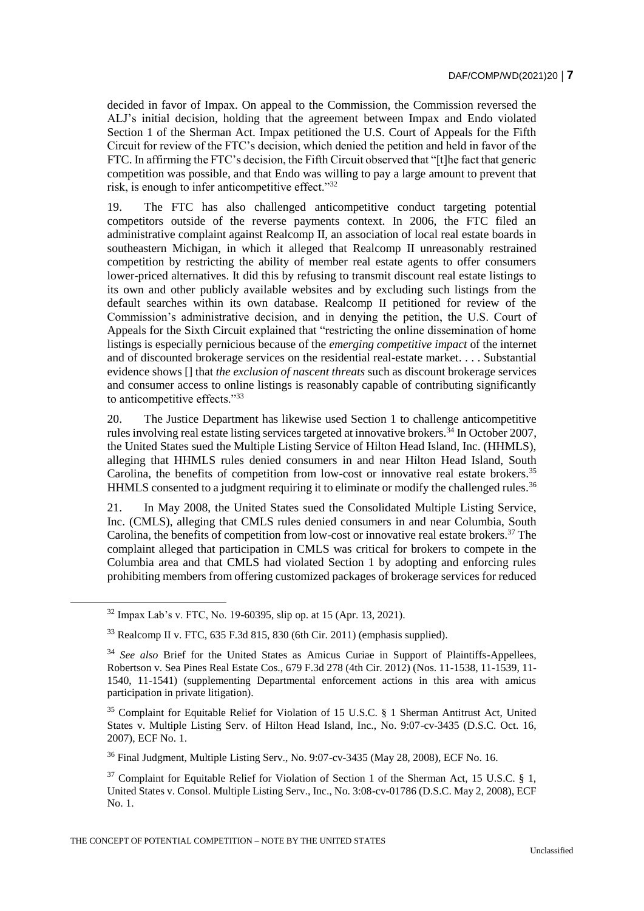decided in favor of Impax. On appeal to the Commission, the Commission reversed the ALJ's initial decision, holding that the agreement between Impax and Endo violated Section 1 of the Sherman Act. Impax petitioned the U.S. Court of Appeals for the Fifth Circuit for review of the FTC's decision, which denied the petition and held in favor of the FTC. In affirming the FTC's decision, the Fifth Circuit observed that "[t]he fact that generic competition was possible, and that Endo was willing to pay a large amount to prevent that risk, is enough to infer anticompetitive effect."<sup>32</sup>

19. The FTC has also challenged anticompetitive conduct targeting potential competitors outside of the reverse payments context. In 2006, the FTC filed an administrative complaint against Realcomp II, an association of local real estate boards in southeastern Michigan, in which it alleged that Realcomp II unreasonably restrained competition by restricting the ability of member real estate agents to offer consumers lower-priced alternatives. It did this by refusing to transmit discount real estate listings to its own and other publicly available websites and by excluding such listings from the default searches within its own database. Realcomp II petitioned for review of the Commission's administrative decision, and in denying the petition, the U.S. Court of Appeals for the Sixth Circuit explained that "restricting the online dissemination of home listings is especially pernicious because of the *emerging competitive impact* of the internet and of discounted brokerage services on the residential real-estate market. . . . Substantial evidence shows [] that *the exclusion of nascent threats* such as discount brokerage services and consumer access to online listings is reasonably capable of contributing significantly to anticompetitive effects."33

20. The Justice Department has likewise used Section 1 to challenge anticompetitive rules involving real estate listing services targeted at innovative brokers.<sup> $34$ </sup> In October 2007, the United States sued the Multiple Listing Service of Hilton Head Island, Inc. (HHMLS), alleging that HHMLS rules denied consumers in and near Hilton Head Island, South Carolina, the benefits of competition from low-cost or innovative real estate brokers.<sup>35</sup> HHMLS consented to a judgment requiring it to eliminate or modify the challenged rules.<sup>36</sup>

21. In May 2008, the United States sued the Consolidated Multiple Listing Service, Inc. (CMLS), alleging that CMLS rules denied consumers in and near Columbia, South Carolina, the benefits of competition from low-cost or innovative real estate brokers.<sup>37</sup> The complaint alleged that participation in CMLS was critical for brokers to compete in the Columbia area and that CMLS had violated Section 1 by adopting and enforcing rules prohibiting members from offering customized packages of brokerage services for reduced

<sup>32</sup> Impax Lab's v. FTC, No. 19-60395, slip op. at 15 (Apr. 13, 2021).

 $33$  Realcomp II v. FTC, 635 F.3d 815, 830 (6th Cir. 2011) (emphasis supplied).

<sup>34</sup> *See also* Brief for the United States as Amicus Curiae in Support of Plaintiffs-Appellees, Robertson v. Sea Pines Real Estate Cos., 679 F.3d 278 (4th Cir. 2012) (Nos. 11-1538, 11-1539, 11- 1540, 11-1541) (supplementing Departmental enforcement actions in this area with amicus participation in private litigation).

<sup>35</sup> Complaint for Equitable Relief for Violation of 15 U.S.C. § 1 Sherman Antitrust Act, United States v. Multiple Listing Serv. of Hilton Head Island, Inc., No. 9:07-cv-3435 (D.S.C. Oct. 16, 2007), ECF No. 1.

<sup>36</sup> Final Judgment, Multiple Listing Serv., No. 9:07-cv-3435 (May 28, 2008), ECF No. 16.

 $37$  Complaint for Equitable Relief for Violation of Section 1 of the Sherman Act, 15 U.S.C. § 1, United States v. Consol. Multiple Listing Serv., Inc., No. 3:08-cv-01786 (D.S.C. May 2, 2008), ECF No. 1.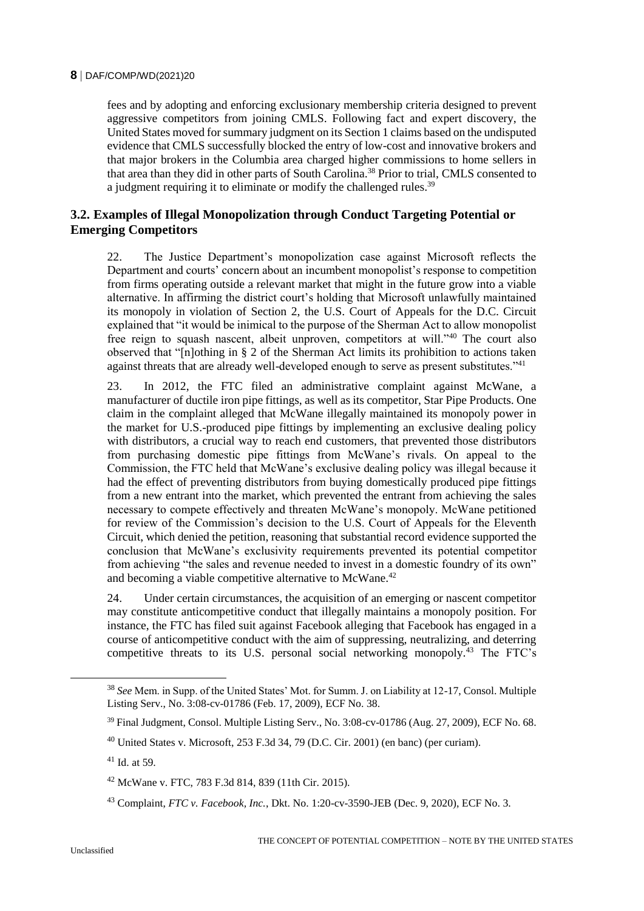fees and by adopting and enforcing exclusionary membership criteria designed to prevent aggressive competitors from joining CMLS. Following fact and expert discovery, the United States moved for summary judgment on its Section 1 claims based on the undisputed evidence that CMLS successfully blocked the entry of low-cost and innovative brokers and that major brokers in the Columbia area charged higher commissions to home sellers in that area than they did in other parts of South Carolina.<sup>38</sup> Prior to trial, CMLS consented to a judgment requiring it to eliminate or modify the challenged rules.<sup>39</sup>

# **3.2. Examples of Illegal Monopolization through Conduct Targeting Potential or Emerging Competitors**

22. The Justice Department's monopolization case against Microsoft reflects the Department and courts' concern about an incumbent monopolist's response to competition from firms operating outside a relevant market that might in the future grow into a viable alternative. In affirming the district court's holding that Microsoft unlawfully maintained its monopoly in violation of Section 2, the U.S. Court of Appeals for the D.C. Circuit explained that "it would be inimical to the purpose of the Sherman Act to allow monopolist free reign to squash nascent, albeit unproven, competitors at will."<sup>40</sup> The court also observed that "[n]othing in § 2 of the Sherman Act limits its prohibition to actions taken against threats that are already well-developed enough to serve as present substitutes."<sup>41</sup>

23. In 2012, the FTC filed an administrative complaint against McWane, a manufacturer of ductile iron pipe fittings, as well as its competitor, Star Pipe Products. One claim in the complaint alleged that McWane illegally maintained its monopoly power in the market for U.S.-produced pipe fittings by implementing an exclusive dealing policy with distributors, a crucial way to reach end customers, that prevented those distributors from purchasing domestic pipe fittings from McWane's rivals. On appeal to the Commission, the FTC held that McWane's exclusive dealing policy was illegal because it had the effect of preventing distributors from buying domestically produced pipe fittings from a new entrant into the market, which prevented the entrant from achieving the sales necessary to compete effectively and threaten McWane's monopoly. McWane petitioned for review of the Commission's decision to the U.S. Court of Appeals for the Eleventh Circuit, which denied the petition, reasoning that substantial record evidence supported the conclusion that McWane's exclusivity requirements prevented its potential competitor from achieving "the sales and revenue needed to invest in a domestic foundry of its own" and becoming a viable competitive alternative to McWane.<sup>42</sup>

24. Under certain circumstances, the acquisition of an emerging or nascent competitor may constitute anticompetitive conduct that illegally maintains a monopoly position. For instance, the FTC has filed suit against Facebook alleging that Facebook has engaged in a course of anticompetitive conduct with the aim of suppressing, neutralizing, and deterring competitive threats to its U.S. personal social networking monopoly.<sup>43</sup> The FTC's

<sup>38</sup> *See* Mem. in Supp. of the United States' Mot. for Summ. J. on Liability at 12-17, Consol. Multiple Listing Serv., No. 3:08-cv-01786 (Feb. 17, 2009), ECF No. 38.

<sup>39</sup> Final Judgment, Consol. Multiple Listing Serv., No. 3:08-cv-01786 (Aug. 27, 2009), ECF No. 68.

 $40$  United States v. Microsoft, 253 F.3d 34, 79 (D.C. Cir. 2001) (en banc) (per curiam).

 $41$  Id. at 59.

<sup>42</sup> McWane v. FTC, 783 F.3d 814, 839 (11th Cir. 2015).

<sup>43</sup> Complaint, *FTC v. Facebook, Inc.*, Dkt. No. 1:20-cv-3590-JEB (Dec. 9, 2020), ECF No. 3.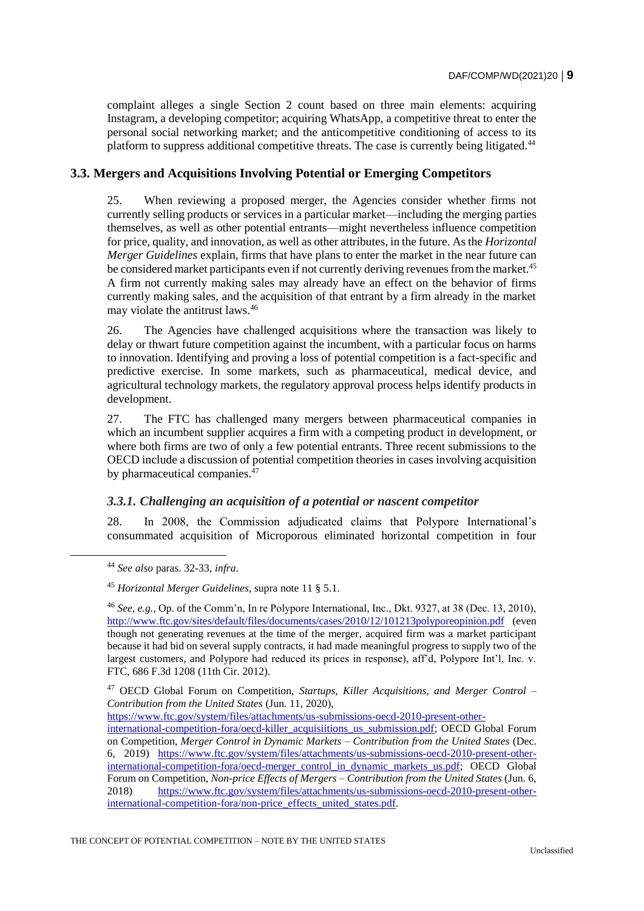complaint alleges a single Section 2 count based on three main elements: acquiring Instagram, a developing competitor; acquiring WhatsApp, a competitive threat to enter the personal social networking market; and the anticompetitive conditioning of access to its platform to suppress additional competitive threats. The case is currently being litigated.<sup>44</sup>

# **3.3. Mergers and Acquisitions Involving Potential or Emerging Competitors**

25. When reviewing a proposed merger, the Agencies consider whether firms not currently selling products or services in a particular market—including the merging parties themselves, as well as other potential entrants—might nevertheless influence competition for price, quality, and innovation, as well as other attributes, in the future. As the *Horizontal Merger Guidelines* explain, firms that have plans to enter the market in the near future can be considered market participants even if not currently deriving revenues from the market.<sup>45</sup> A firm not currently making sales may already have an effect on the behavior of firms currently making sales, and the acquisition of that entrant by a firm already in the market may violate the antitrust laws.<sup>46</sup>

26. The Agencies have challenged acquisitions where the transaction was likely to delay or thwart future competition against the incumbent, with a particular focus on harms to innovation. Identifying and proving a loss of potential competition is a fact-specific and predictive exercise. In some markets, such as pharmaceutical, medical device, and agricultural technology markets, the regulatory approval process helps identify products in development.

27. The FTC has challenged many mergers between pharmaceutical companies in which an incumbent supplier acquires a firm with a competing product in development, or where both firms are two of only a few potential entrants. Three recent submissions to the OECD include a discussion of potential competition theories in cases involving acquisition by pharmaceutical companies. $^{47}$ 

# *3.3.1. Challenging an acquisition of a potential or nascent competitor*

28. In 2008, the Commission adjudicated claims that Polypore International's consummated acquisition of Microporous eliminated horizontal competition in four

<sup>44</sup> *See also* paras. 32-33, *infra*.

<sup>45</sup> *Horizontal Merger Guidelines*, supra note 11 § 5.1.

<sup>46</sup> *See, e.g.*, Op. of the Comm'n, In re Polypore International, Inc., Dkt. 9327, at 38 (Dec. 13, 2010), <http://www.ftc.gov/sites/default/files/documents/cases/2010/12/101213polyporeopinion.pdf> (even though not generating revenues at the time of the merger, acquired firm was a market participant because it had bid on several supply contracts, it had made meaningful progress to supply two of the largest customers, and Polypore had reduced its prices in response), aff'd, Polypore Int'l, Inc. v. FTC, 686 F.3d 1208 (11th Cir. 2012).

<sup>47</sup> OECD Global Forum on Competition, *Startups, Killer Acquisitions, and Merger Control – Contribution from the United States* (Jun. 11, 2020),

[https://www.ftc.gov/system/files/attachments/us-submissions-oecd-2010-present-other-](https://www.ftc.gov/system/files/attachments/us-submissions-oecd-2010-present-other-international-competition-fora/oecd-killer_acquisiitions_us_submission.pdf)

[international-competition-fora/oecd-killer\\_acquisiitions\\_us\\_submission.pdf;](https://www.ftc.gov/system/files/attachments/us-submissions-oecd-2010-present-other-international-competition-fora/oecd-killer_acquisiitions_us_submission.pdf) OECD Global Forum on Competition, *Merger Control in Dynamic Markets – Contribution from the United States* (Dec. 6, 2019) [https://www.ftc.gov/system/files/attachments/us-submissions-oecd-2010-present-other](https://www.ftc.gov/system/files/attachments/us-submissions-oecd-2010-present-other-international-competition-fora/oecd-merger_control_in_dynamic_markets_us.pdf)[international-competition-fora/oecd-merger\\_control\\_in\\_dynamic\\_markets\\_us.pdf;](https://www.ftc.gov/system/files/attachments/us-submissions-oecd-2010-present-other-international-competition-fora/oecd-merger_control_in_dynamic_markets_us.pdf) OECD Global Forum on Competition, *Non-price Effects of Mergers – Contribution from the United States* (Jun. 6, 2018) https://www.ftc.gov/system/files/attachments/us-submissions-oecd-2010-present-other-2018) [https://www.ftc.gov/system/files/attachments/us-submissions-oecd-2010-present-other](https://www.ftc.gov/system/files/attachments/us-submissions-oecd-2010-present-other-international-competition-fora/non-price_effects_united_states.pdf)international-competition-fora/non-price effects united states.pdf.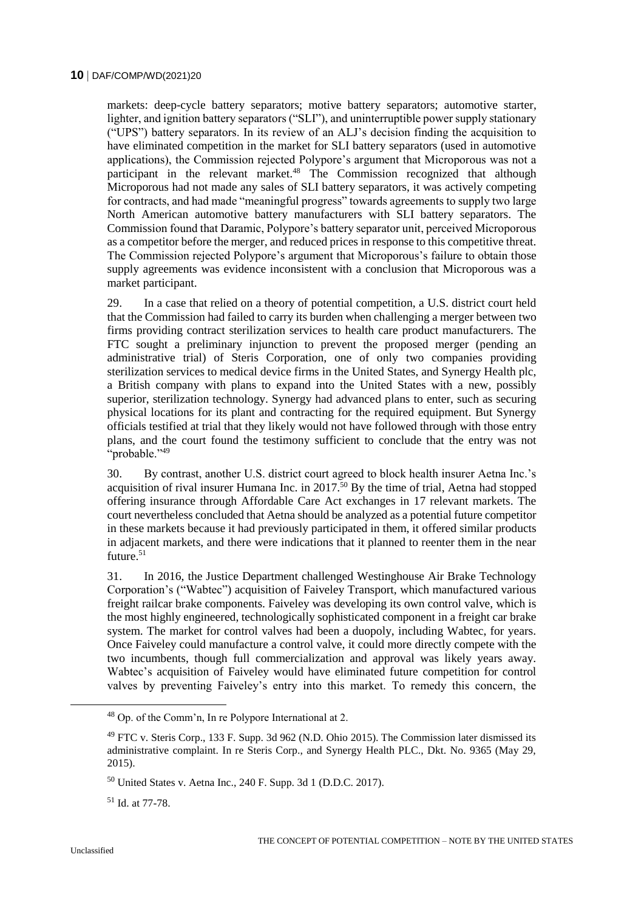markets: deep-cycle battery separators; motive battery separators; automotive starter, lighter, and ignition battery separators ("SLI"), and uninterruptible power supply stationary ("UPS") battery separators. In its review of an ALJ's decision finding the acquisition to have eliminated competition in the market for SLI battery separators (used in automotive applications), the Commission rejected Polypore's argument that Microporous was not a participant in the relevant market.<sup>48</sup> The Commission recognized that although Microporous had not made any sales of SLI battery separators, it was actively competing for contracts, and had made "meaningful progress" towards agreements to supply two large North American automotive battery manufacturers with SLI battery separators. The Commission found that Daramic, Polypore's battery separator unit, perceived Microporous as a competitor before the merger, and reduced prices in response to this competitive threat. The Commission rejected Polypore's argument that Microporous's failure to obtain those supply agreements was evidence inconsistent with a conclusion that Microporous was a market participant.

29. In a case that relied on a theory of potential competition, a U.S. district court held that the Commission had failed to carry its burden when challenging a merger between two firms providing contract sterilization services to health care product manufacturers. The FTC sought a preliminary injunction to prevent the proposed merger (pending an administrative trial) of Steris Corporation, one of only two companies providing sterilization services to medical device firms in the United States, and Synergy Health plc, a British company with plans to expand into the United States with a new, possibly superior, sterilization technology. Synergy had advanced plans to enter, such as securing physical locations for its plant and contracting for the required equipment. But Synergy officials testified at trial that they likely would not have followed through with those entry plans, and the court found the testimony sufficient to conclude that the entry was not "probable."<sup>49</sup>

30. By contrast, another U.S. district court agreed to block health insurer Aetna Inc.'s acquisition of rival insurer Humana Inc. in 2017.<sup>50</sup> By the time of trial, Aetna had stopped offering insurance through Affordable Care Act exchanges in 17 relevant markets. The court nevertheless concluded that Aetna should be analyzed as a potential future competitor in these markets because it had previously participated in them, it offered similar products in adjacent markets, and there were indications that it planned to reenter them in the near future.<sup>51</sup>

31. In 2016, the Justice Department challenged Westinghouse Air Brake Technology Corporation's ("Wabtec") acquisition of Faiveley Transport, which manufactured various freight railcar brake components. Faiveley was developing its own control valve, which is the most highly engineered, technologically sophisticated component in a freight car brake system. The market for control valves had been a duopoly, including Wabtec, for years. Once Faiveley could manufacture a control valve, it could more directly compete with the two incumbents, though full commercialization and approval was likely years away. Wabtec's acquisition of Faiveley would have eliminated future competition for control valves by preventing Faiveley's entry into this market. To remedy this concern, the

<sup>48</sup> Op. of the Comm'n, In re Polypore International at 2.

<sup>49</sup> FTC v. Steris Corp., 133 F. Supp. 3d 962 (N.D. Ohio 2015). The Commission later dismissed its administrative complaint. In re Steris Corp., and Synergy Health PLC., Dkt. No. 9365 (May 29, 2015).

 $50$  United States v. Aetna Inc., 240 F. Supp. 3d 1 (D.D.C. 2017).

<sup>51</sup> Id. at 77-78.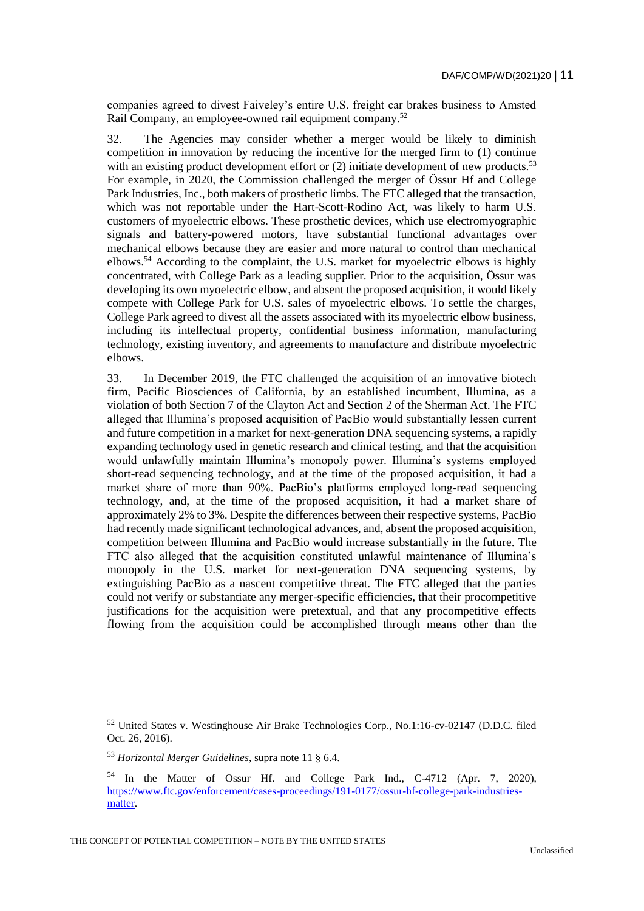companies agreed to divest Faiveley's entire U.S. freight car brakes business to Amsted Rail Company, an employee-owned rail equipment company.<sup>52</sup>

32. The Agencies may consider whether a merger would be likely to diminish competition in innovation by reducing the incentive for the merged firm to (1) continue with an existing product development effort or  $(2)$  initiate development of new products.<sup>53</sup> For example, in 2020, the Commission challenged the merger of Össur Hf and College Park Industries, Inc., both makers of prosthetic limbs. The FTC alleged that the transaction, which was not reportable under the Hart-Scott-Rodino Act, was likely to harm U.S. customers of myoelectric elbows. These prosthetic devices, which use electromyographic signals and battery-powered motors, have substantial functional advantages over mechanical elbows because they are easier and more natural to control than mechanical elbows.<sup>54</sup> According to the complaint, the U.S. market for myoelectric elbows is highly concentrated, with College Park as a leading supplier. Prior to the acquisition, Össur was developing its own myoelectric elbow, and absent the proposed acquisition, it would likely compete with College Park for U.S. sales of myoelectric elbows. To settle the charges, College Park agreed to divest all the assets associated with its myoelectric elbow business, including its intellectual property, confidential business information, manufacturing technology, existing inventory, and agreements to manufacture and distribute myoelectric elbows.

33. In December 2019, the FTC challenged the acquisition of an innovative biotech firm, Pacific Biosciences of California, by an established incumbent, Illumina, as a violation of both Section 7 of the Clayton Act and Section 2 of the Sherman Act. The FTC alleged that Illumina's proposed acquisition of PacBio would substantially lessen current and future competition in a market for next-generation DNA sequencing systems, a rapidly expanding technology used in genetic research and clinical testing, and that the acquisition would unlawfully maintain Illumina's monopoly power. Illumina's systems employed short-read sequencing technology, and at the time of the proposed acquisition, it had a market share of more than 90%. PacBio's platforms employed long-read sequencing technology, and, at the time of the proposed acquisition, it had a market share of approximately 2% to 3%. Despite the differences between their respective systems, PacBio had recently made significant technological advances, and, absent the proposed acquisition, competition between Illumina and PacBio would increase substantially in the future. The FTC also alleged that the acquisition constituted unlawful maintenance of Illumina's monopoly in the U.S. market for next-generation DNA sequencing systems, by extinguishing PacBio as a nascent competitive threat. The FTC alleged that the parties could not verify or substantiate any merger-specific efficiencies, that their procompetitive justifications for the acquisition were pretextual, and that any procompetitive effects flowing from the acquisition could be accomplished through means other than the

<sup>52</sup> United States v. Westinghouse Air Brake Technologies Corp., No.1:16-cv-02147 (D.D.C. filed Oct. 26, 2016).

<sup>53</sup> *Horizontal Merger Guidelines*, supra note 11 § 6.4.

<sup>54</sup> In the Matter of Ossur Hf. and College Park Ind., C-4712 (Apr. 7, 2020), [https://www.ftc.gov/enforcement/cases-proceedings/191-0177/ossur-hf-college-park-industries](https://www.ftc.gov/enforcement/cases-proceedings/191-0177/ossur-hf-college-park-industries-matter)[matter.](https://www.ftc.gov/enforcement/cases-proceedings/191-0177/ossur-hf-college-park-industries-matter)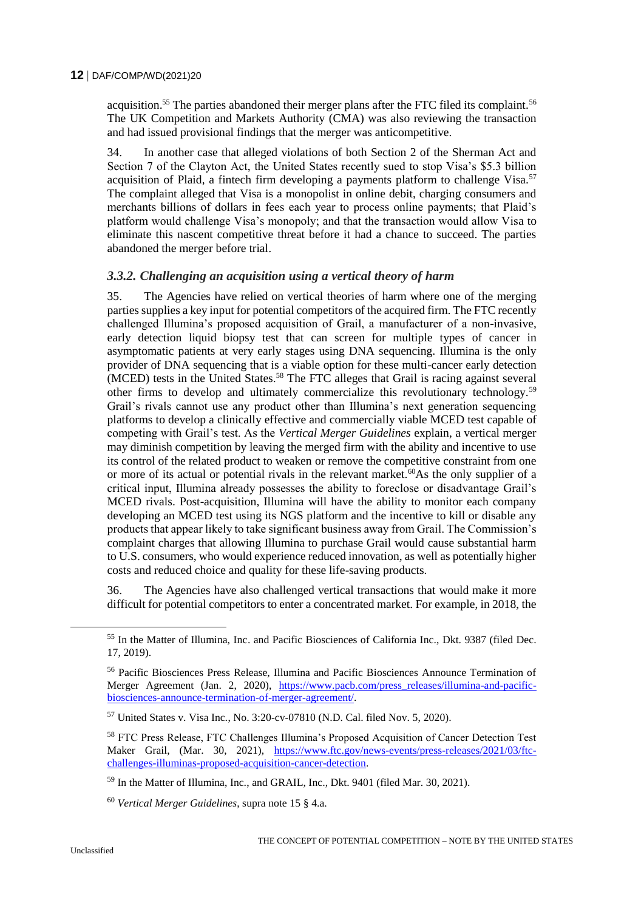acquisition.<sup>55</sup> The parties abandoned their merger plans after the FTC filed its complaint.<sup>56</sup> The UK Competition and Markets Authority (CMA) was also reviewing the transaction and had issued provisional findings that the merger was anticompetitive.

34. In another case that alleged violations of both Section 2 of the Sherman Act and Section 7 of the Clayton Act, the United States recently sued to stop Visa's \$5.3 billion acquisition of Plaid, a fintech firm developing a payments platform to challenge Visa.<sup>57</sup> The complaint alleged that Visa is a monopolist in online debit, charging consumers and merchants billions of dollars in fees each year to process online payments; that Plaid's platform would challenge Visa's monopoly; and that the transaction would allow Visa to eliminate this nascent competitive threat before it had a chance to succeed. The parties abandoned the merger before trial.

# *3.3.2. Challenging an acquisition using a vertical theory of harm*

35. The Agencies have relied on vertical theories of harm where one of the merging parties supplies a key input for potential competitors of the acquired firm. The FTC recently challenged Illumina's proposed acquisition of Grail, a manufacturer of a non-invasive, early detection liquid biopsy test that can screen for multiple types of cancer in asymptomatic patients at very early stages using DNA sequencing. Illumina is the only provider of DNA sequencing that is a viable option for these multi-cancer early detection  $(MCED)$  tests in the United States.<sup>58</sup> The FTC alleges that Grail is racing against several other firms to develop and ultimately commercialize this revolutionary technology.<sup>59</sup> Grail's rivals cannot use any product other than Illumina's next generation sequencing platforms to develop a clinically effective and commercially viable MCED test capable of competing with Grail's test. As the *Vertical Merger Guidelines* explain, a vertical merger may diminish competition by leaving the merged firm with the ability and incentive to use its control of the related product to weaken or remove the competitive constraint from one or more of its actual or potential rivals in the relevant market.<sup>60</sup>As the only supplier of a critical input, Illumina already possesses the ability to foreclose or disadvantage Grail's MCED rivals. Post-acquisition, Illumina will have the ability to monitor each company developing an MCED test using its NGS platform and the incentive to kill or disable any products that appear likely to take significant business away from Grail. The Commission's complaint charges that allowing Illumina to purchase Grail would cause substantial harm to U.S. consumers, who would experience reduced innovation, as well as potentially higher costs and reduced choice and quality for these life-saving products.

36. The Agencies have also challenged vertical transactions that would make it more difficult for potential competitors to enter a concentrated market. For example, in 2018, the

<sup>55</sup> In the Matter of Illumina, Inc. and Pacific Biosciences of California Inc., Dkt. 9387 (filed Dec. 17, 2019).

<sup>56</sup> Pacific Biosciences Press Release, Illumina and Pacific Biosciences Announce Termination of Merger Agreement (Jan. 2, 2020), [https://www.pacb.com/press\\_releases/illumina-and-pacific](https://www.pacb.com/press_releases/illumina-and-pacific-biosciences-announce-termination-of-merger-agreement/)[biosciences-announce-termination-of-merger-agreement/.](https://www.pacb.com/press_releases/illumina-and-pacific-biosciences-announce-termination-of-merger-agreement/)

<sup>57</sup> United States v. Visa Inc*.*, No. 3:20-cv-07810 (N.D. Cal. filed Nov. 5, 2020).

<sup>58</sup> FTC Press Release, FTC Challenges Illumina's Proposed Acquisition of Cancer Detection Test Maker Grail, (Mar. 30, 2021), [https://www.ftc.gov/news-events/press-releases/2021/03/ftc](https://www.ftc.gov/news-events/press-releases/2021/03/ftc-challenges-illuminas-proposed-acquisition-cancer-detection)[challenges-illuminas-proposed-acquisition-cancer-detection.](https://www.ftc.gov/news-events/press-releases/2021/03/ftc-challenges-illuminas-proposed-acquisition-cancer-detection)

<sup>59</sup> In the Matter of Illumina, Inc., and GRAIL, Inc., Dkt. 9401 (filed Mar. 30, 2021).

<sup>60</sup> *Vertical Merger Guidelines*, supra note 15 § 4.a.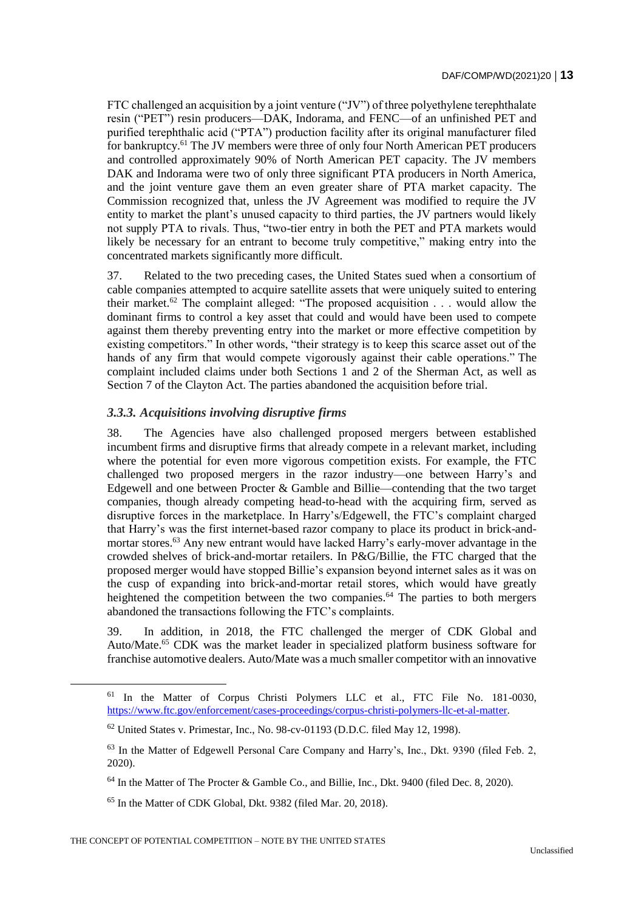FTC challenged an acquisition by a joint venture ("JV") of three polyethylene terephthalate resin ("PET") resin producers—DAK, Indorama, and FENC—of an unfinished PET and purified terephthalic acid ("PTA") production facility after its original manufacturer filed for bankruptcy.<sup>61</sup> The JV members were three of only four North American PET producers and controlled approximately 90% of North American PET capacity. The JV members DAK and Indorama were two of only three significant PTA producers in North America, and the joint venture gave them an even greater share of PTA market capacity. The Commission recognized that, unless the JV Agreement was modified to require the JV entity to market the plant's unused capacity to third parties, the JV partners would likely not supply PTA to rivals. Thus, "two-tier entry in both the PET and PTA markets would likely be necessary for an entrant to become truly competitive," making entry into the concentrated markets significantly more difficult.

37. Related to the two preceding cases, the United States sued when a consortium of cable companies attempted to acquire satellite assets that were uniquely suited to entering their market.<sup>62</sup> The complaint alleged: "The proposed acquisition . . . would allow the dominant firms to control a key asset that could and would have been used to compete against them thereby preventing entry into the market or more effective competition by existing competitors." In other words, "their strategy is to keep this scarce asset out of the hands of any firm that would compete vigorously against their cable operations." The complaint included claims under both Sections 1 and 2 of the Sherman Act, as well as Section 7 of the Clayton Act. The parties abandoned the acquisition before trial.

# *3.3.3. Acquisitions involving disruptive firms*

38. The Agencies have also challenged proposed mergers between established incumbent firms and disruptive firms that already compete in a relevant market, including where the potential for even more vigorous competition exists. For example, the FTC challenged two proposed mergers in the razor industry—one between Harry's and Edgewell and one between Procter & Gamble and Billie—contending that the two target companies, though already competing head-to-head with the acquiring firm, served as disruptive forces in the marketplace. In Harry's/Edgewell, the FTC's complaint charged that Harry's was the first internet-based razor company to place its product in brick-andmortar stores.<sup>63</sup> Any new entrant would have lacked Harry's early-mover advantage in the crowded shelves of brick-and-mortar retailers. In P&G/Billie, the FTC charged that the proposed merger would have stopped Billie's expansion beyond internet sales as it was on the cusp of expanding into brick-and-mortar retail stores, which would have greatly heightened the competition between the two companies.<sup>64</sup> The parties to both mergers abandoned the transactions following the FTC's complaints.

39. In addition, in 2018, the FTC challenged the merger of CDK Global and Auto/Mate.<sup>65</sup> CDK was the market leader in specialized platform business software for franchise automotive dealers. Auto/Mate was a much smaller competitor with an innovative

<sup>61</sup> In the Matter of Corpus Christi Polymers LLC et al., FTC File No. 181-0030, [https://www.ftc.gov/enforcement/cases-proceedings/corpus-christi-polymers-llc-et-al-matter.](https://www.ftc.gov/enforcement/cases-proceedings/corpus-christi-polymers-llc-et-al-matter)

 $62$  United States v. Primestar, Inc., No. 98-cv-01193 (D.D.C. filed May 12, 1998).

<sup>&</sup>lt;sup>63</sup> In the Matter of Edgewell Personal Care Company and Harry's, Inc., Dkt. 9390 (filed Feb. 2, 2020).

 $64$  In the Matter of The Procter & Gamble Co., and Billie, Inc., Dkt. 9400 (filed Dec. 8, 2020).

<sup>65</sup> In the Matter of CDK Global, Dkt. 9382 (filed Mar. 20, 2018).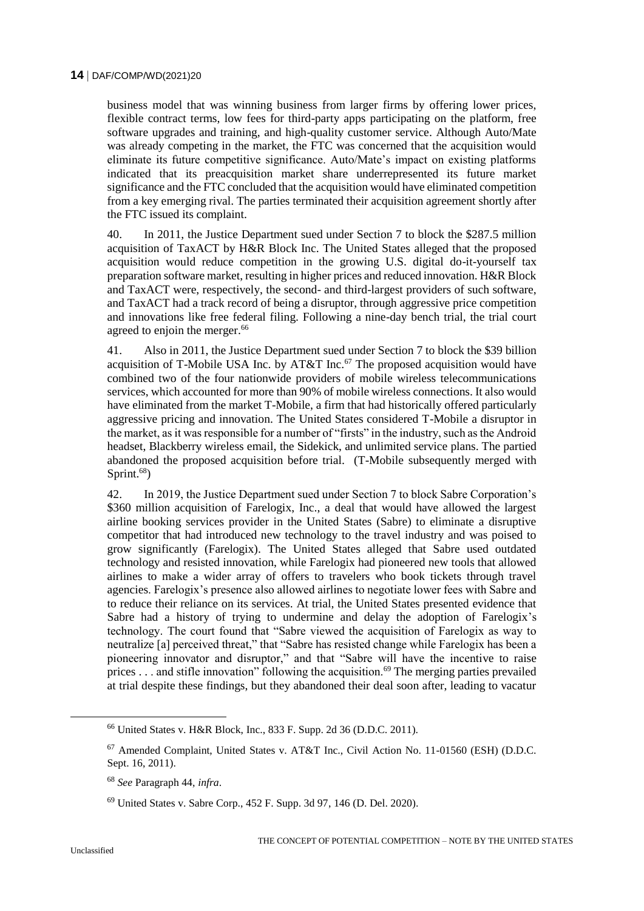business model that was winning business from larger firms by offering lower prices, flexible contract terms, low fees for third-party apps participating on the platform, free software upgrades and training, and high-quality customer service. Although Auto/Mate was already competing in the market, the FTC was concerned that the acquisition would eliminate its future competitive significance. Auto/Mate's impact on existing platforms indicated that its preacquisition market share underrepresented its future market significance and the FTC concluded that the acquisition would have eliminated competition from a key emerging rival. The parties terminated their acquisition agreement shortly after the FTC issued its complaint.

40. In 2011, the Justice Department sued under Section 7 to block the \$287.5 million acquisition of TaxACT by H&R Block Inc. The United States alleged that the proposed acquisition would reduce competition in the growing U.S. digital do-it-yourself tax preparation software market, resulting in higher prices and reduced innovation. H&R Block and TaxACT were, respectively, the second- and third-largest providers of such software, and TaxACT had a track record of being a disruptor, through aggressive price competition and innovations like free federal filing. Following a nine-day bench trial, the trial court agreed to enjoin the merger.<sup>66</sup>

41. Also in 2011, the Justice Department sued under Section 7 to block the \$39 billion acquisition of T-Mobile USA Inc. by AT&T Inc.<sup>67</sup> The proposed acquisition would have combined two of the four nationwide providers of mobile wireless telecommunications services, which accounted for more than 90% of mobile wireless connections. It also would have eliminated from the market T-Mobile, a firm that had historically offered particularly aggressive pricing and innovation. The United States considered T-Mobile a disruptor in the market, as it was responsible for a number of "firsts" in the industry, such as the Android headset, Blackberry wireless email, the Sidekick, and unlimited service plans. The partied abandoned the proposed acquisition before trial. (T-Mobile subsequently merged with Sprint.<sup>68</sup>)

42. In 2019, the Justice Department sued under Section 7 to block Sabre Corporation's \$360 million acquisition of Farelogix, Inc., a deal that would have allowed the largest airline booking services provider in the United States (Sabre) to eliminate a disruptive competitor that had introduced new technology to the travel industry and was poised to grow significantly (Farelogix). The United States alleged that Sabre used outdated technology and resisted innovation, while Farelogix had pioneered new tools that allowed airlines to make a wider array of offers to travelers who book tickets through travel agencies. Farelogix's presence also allowed airlines to negotiate lower fees with Sabre and to reduce their reliance on its services. At trial, the United States presented evidence that Sabre had a history of trying to undermine and delay the adoption of Farelogix's technology. The court found that "Sabre viewed the acquisition of Farelogix as way to neutralize [a] perceived threat," that "Sabre has resisted change while Farelogix has been a pioneering innovator and disruptor," and that "Sabre will have the incentive to raise prices  $\dots$  and stifle innovation" following the acquisition.<sup>69</sup> The merging parties prevailed at trial despite these findings, but they abandoned their deal soon after, leading to vacatur

<sup>66</sup> United States v. H&R Block, Inc., 833 F. Supp. 2d 36 (D.D.C. 2011).

<sup>67</sup> Amended Complaint, United States v. AT&T Inc., Civil Action No. 11-01560 (ESH) (D.D.C. Sept. 16, 2011).

<sup>68</sup> *See* Paragraph 44, *infra*.

<sup>69</sup> United States v. Sabre Corp., 452 F. Supp. 3d 97, 146 (D. Del. 2020).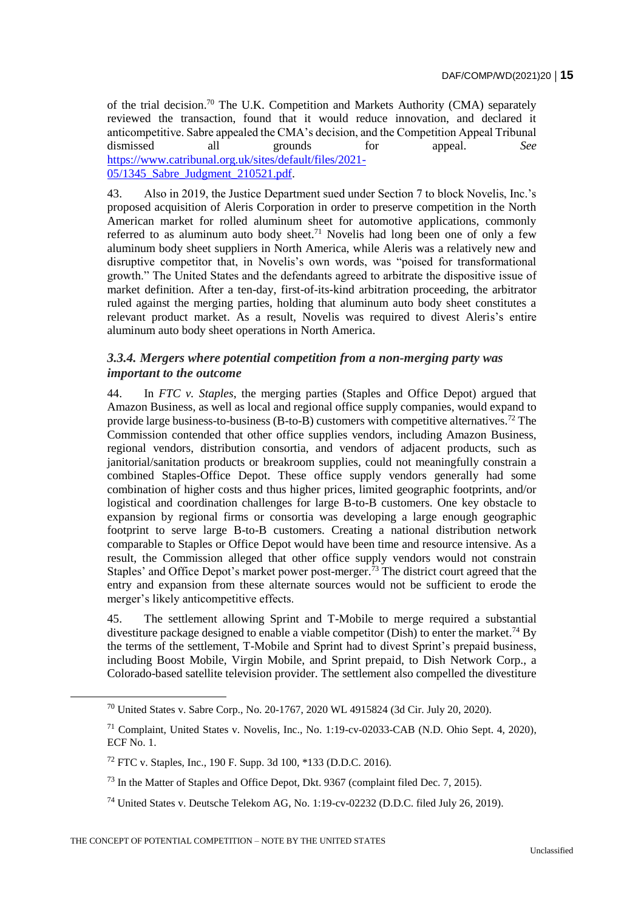of the trial decision.<sup>70</sup> The U.K. Competition and Markets Authority (CMA) separately reviewed the transaction, found that it would reduce innovation, and declared it anticompetitive. Sabre appealed the CMA's decision, and the Competition Appeal Tribunal dismissed all grounds for appeal. *See* [https://www.catribunal.org.uk/sites/default/files/2021-](https://www.catribunal.org.uk/sites/default/files/2021-05/1345_Sabre_Judgment_210521.pdf) [05/1345\\_Sabre\\_Judgment\\_210521.pdf.](https://www.catribunal.org.uk/sites/default/files/2021-05/1345_Sabre_Judgment_210521.pdf)

43. Also in 2019, the Justice Department sued under Section 7 to block Novelis, Inc.'s proposed acquisition of Aleris Corporation in order to preserve competition in the North American market for rolled aluminum sheet for automotive applications, commonly referred to as aluminum auto body sheet.<sup>71</sup> Novelis had long been one of only a few aluminum body sheet suppliers in North America, while Aleris was a relatively new and disruptive competitor that, in Novelis's own words, was "poised for transformational growth." The United States and the defendants agreed to arbitrate the dispositive issue of market definition. After a ten-day, first-of-its-kind arbitration proceeding, the arbitrator ruled against the merging parties, holding that aluminum auto body sheet constitutes a relevant product market. As a result, Novelis was required to divest Aleris's entire aluminum auto body sheet operations in North America.

# *3.3.4. Mergers where potential competition from a non-merging party was important to the outcome*

44. In *FTC v. Staples*, the merging parties (Staples and Office Depot) argued that Amazon Business, as well as local and regional office supply companies, would expand to provide large business-to-business (B-to-B) customers with competitive alternatives.<sup>72</sup> The Commission contended that other office supplies vendors, including Amazon Business, regional vendors, distribution consortia, and vendors of adjacent products, such as janitorial/sanitation products or breakroom supplies, could not meaningfully constrain a combined Staples-Office Depot. These office supply vendors generally had some combination of higher costs and thus higher prices, limited geographic footprints, and/or logistical and coordination challenges for large B-to-B customers. One key obstacle to expansion by regional firms or consortia was developing a large enough geographic footprint to serve large B-to-B customers. Creating a national distribution network comparable to Staples or Office Depot would have been time and resource intensive. As a result, the Commission alleged that other office supply vendors would not constrain Staples' and Office Depot's market power post-merger.<sup>73</sup> The district court agreed that the entry and expansion from these alternate sources would not be sufficient to erode the merger's likely anticompetitive effects.

45. The settlement allowing Sprint and T-Mobile to merge required a substantial divestiture package designed to enable a viable competitor (Dish) to enter the market.<sup>74</sup> By the terms of the settlement, T-Mobile and Sprint had to divest Sprint's prepaid business, including Boost Mobile, Virgin Mobile, and Sprint prepaid, to Dish Network Corp., a Colorado-based satellite television provider. The settlement also compelled the divestiture

<sup>70</sup> United States v. Sabre Corp., No. 20-1767, 2020 WL 4915824 (3d Cir. July 20, 2020).

<sup>71</sup> Complaint, United States v. Novelis, Inc., No. 1:19-cv-02033-CAB (N.D. Ohio Sept. 4, 2020),  $ECF$  No. 1.

<sup>72</sup> FTC v. Staples, Inc., 190 F. Supp. 3d 100, \*133 (D.D.C. 2016).

<sup>&</sup>lt;sup>73</sup> In the Matter of Staples and Office Depot, Dkt. 9367 (complaint filed Dec. 7, 2015).

<sup>74</sup> United States v. Deutsche Telekom AG, No. 1:19-cv-02232 (D.D.C. filed July 26, 2019).